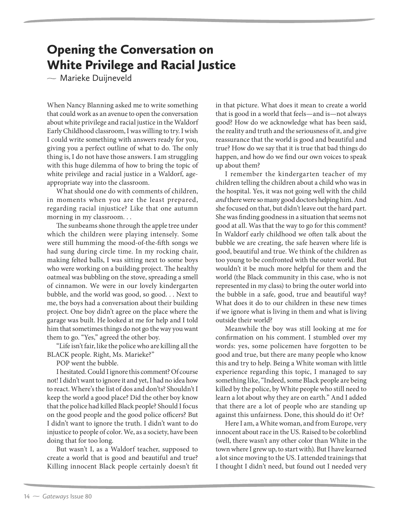## Opening the Conversation on White Privilege and Racial Justice

 $\sim$  Marieke Duijneveld

When Nancy Blanning asked me to write something that could work as an avenue to open the conversation about white privilege and racial justice in the Waldorf Early Childhood classroom, I was willing to try. I wish I could write something with answers ready for you, giving you a perfect outline of what to do. The only thing is, I do not have those answers. I am struggling with this huge dilemma of how to bring the topic of white privilege and racial justice in a Waldorf, ageappropriate way into the classroom.

What should one do with comments of children, in moments when you are the least prepared, regarding racial injustice? Like that one autumn morning in my classroom. . .

The sunbeams shone through the apple tree under which the children were playing intensely. Some were still humming the mood-of-the-fifth songs we had sung during circle time. In my rocking chair, making felted balls, I was sitting next to some boys who were working on a building project. The healthy oatmeal was bubbling on the stove, spreading a smell of cinnamon. We were in our lovely kindergarten bubble, and the world was good, so good. . . Next to me, the boys had a conversation about their building project. One boy didn't agree on the place where the garage was built. He looked at me for help and I told him that sometimes things do not go the way you want them to go. "Yes," agreed the other boy.

"Life isn't fair, like the police who are killing all the BLACK people. Right, Ms. Marieke?"

POP went the bubble.

I hesitated. Could I ignore this comment? Of course not! I didn't want to ignore it and yet, I had no idea how to react. Where's the list of dos and don'ts? Shouldn't I keep the world a good place? Did the other boy know that the police had killed Black people? Should I focus on the good people and the good police officers? But I didn't want to ignore the truth. I didn't want to do injustice to people of color. We, as a society, have been doing that for too long.

But wasn't I, as a Waldorf teacher, supposed to create a world that is good and beautiful and true? Killing innocent Black people certainly doesn't fit in that picture. What does it mean to create a world that is good in a world that feels—and is—not always good? How do we acknowledge what has been said, the reality and truth and the seriousness of it, and give reassurance that the world is good and beautiful and true? How do we say that it is true that bad things do happen, and how do we find our own voices to speak up about them?

I remember the kindergarten teacher of my children telling the children about a child who was in the hospital. Yes, it was not going well with the child and there were so many good doctors helping him. And she focused on that, but didn't leave out the hard part. She was finding goodness in a situation that seems not good at all. Was that the way to go for this comment? In Waldorf early childhood we often talk about the bubble we are creating, the safe heaven where life is good, beautiful and true. We think of the children as too young to be confronted with the outer world. But wouldn't it be much more helpful for them and the world (the Black community in this case, who is not represented in my class) to bring the outer world into the bubble in a safe, good, true and beautiful way? What does it do to our children in these new times if we ignore what is living in them and what is living outside their world?

Meanwhile the boy was still looking at me for confirmation on his comment. I stumbled over my words: yes, some policemen have forgotten to be good and true, but there are many people who know this and try to help. Being a White woman with little experience regarding this topic, I managed to say something like, "Indeed, some Black people are being killed by the police, by White people who still need to learn a lot about why they are on earth." And I added that there are a lot of people who are standing up against this unfairness. Done, this should do it! Or?

Here I am, a White woman, and from Europe, very innocent about race in the US. Raised to be colorblind (well, there wasn't any other color than White in the town where I grew up, to start with). But I have learned a lot since moving to the US. I attended trainings that I thought I didn't need, but found out I needed very